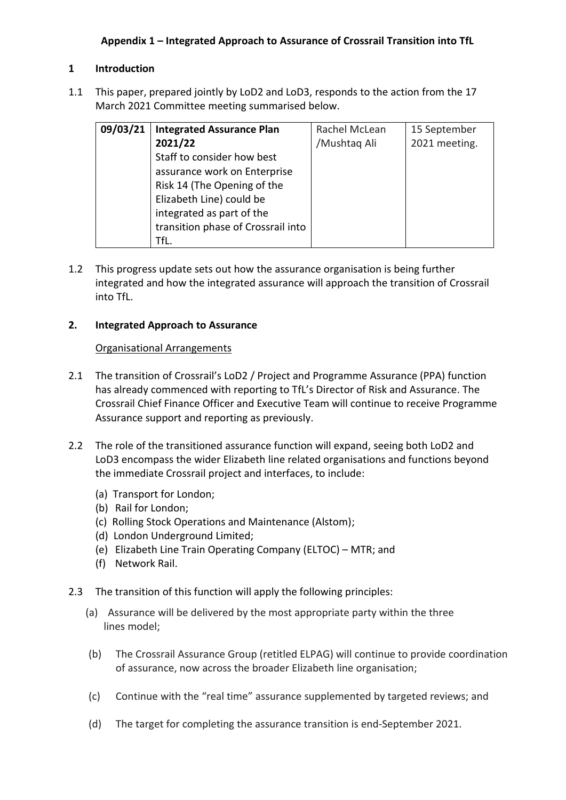# **1 Introduction**

1.1 This paper, prepared jointly by LoD2 and LoD3, responds to the action from the 17 March 2021 Committee meeting summarised below.

| 09/03/21 | <b>Integrated Assurance Plan</b>   | Rachel McLean | 15 September  |
|----------|------------------------------------|---------------|---------------|
|          | 2021/22                            | /Mushtaq Ali  | 2021 meeting. |
|          | Staff to consider how best         |               |               |
|          | assurance work on Enterprise       |               |               |
|          | Risk 14 (The Opening of the        |               |               |
|          | Elizabeth Line) could be           |               |               |
|          | integrated as part of the          |               |               |
|          | transition phase of Crossrail into |               |               |
|          | TfL.                               |               |               |

1.2 This progress update sets out how the assurance organisation is being further integrated and how the integrated assurance will approach the transition of Crossrail into TfL.

# **2. Integrated Approach to Assurance**

### Organisational Arrangements

- 2.1 The transition of Crossrail's LoD2 / Project and Programme Assurance (PPA) function has already commenced with reporting to TfL's Director of Risk and Assurance. The Crossrail Chief Finance Officer and Executive Team will continue to receive Programme Assurance support and reporting as previously.
- 2.2 The role of the transitioned assurance function will expand, seeing both LoD2 and LoD3 encompass the wider Elizabeth line related organisations and functions beyond the immediate Crossrail project and interfaces, to include:
	- (a) Transport for London;
	- (b) Rail for London;
	- (c) Rolling Stock Operations and Maintenance (Alstom);
	- (d) London Underground Limited;
	- (e) Elizabeth Line Train Operating Company (ELTOC) MTR; and
	- (f) Network Rail.
- 2.3 The transition of this function will apply the following principles:
	- (a) Assurance will be delivered by the most appropriate party within the three lines model;
	- (b) The Crossrail Assurance Group (retitled ELPAG) will continue to provide coordination of assurance, now across the broader Elizabeth line organisation;
	- (c) Continue with the "real time" assurance supplemented by targeted reviews; and
	- (d) The target for completing the assurance transition is end-September 2021.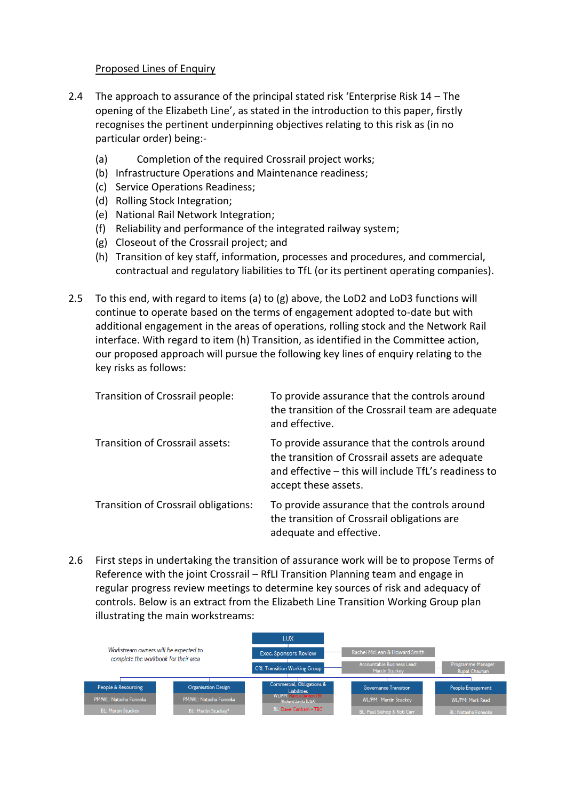#### Proposed Lines of Enquiry

- 2.4 The approach to assurance of the principal stated risk 'Enterprise Risk 14 The opening of the Elizabeth Line', as stated in the introduction to this paper, firstly recognises the pertinent underpinning objectives relating to this risk as (in no particular order) being:-
	- (a) Completion of the required Crossrail project works;
	- (b) Infrastructure Operations and Maintenance readiness;
	- (c) Service Operations Readiness;
	- (d) Rolling Stock Integration;
	- (e) National Rail Network Integration;
	- (f) Reliability and performance of the integrated railway system;
	- (g) Closeout of the Crossrail project; and
	- (h) Transition of key staff, information, processes and procedures, and commercial, contractual and regulatory liabilities to TfL (or its pertinent operating companies).
- 2.5 To this end, with regard to items (a) to  $(g)$  above, the LoD2 and LoD3 functions will continue to operate based on the terms of engagement adopted to-date but with additional engagement in the areas of operations, rolling stock and the Network Rail interface. With regard to item (h) Transition, as identified in the Committee action, our proposed approach will pursue the following key lines of enquiry relating to the key risks as follows:

| Transition of Crossrail people:      | To provide assurance that the controls around<br>the transition of the Crossrail team are adequate<br>and effective.                                                             |
|--------------------------------------|----------------------------------------------------------------------------------------------------------------------------------------------------------------------------------|
| Transition of Crossrail assets:      | To provide assurance that the controls around<br>the transition of Crossrail assets are adequate<br>and effective – this will include TfL's readiness to<br>accept these assets. |
| Transition of Crossrail obligations: | To provide assurance that the controls around<br>the transition of Crossrail obligations are<br>adequate and effective.                                                          |

2.6 First steps in undertaking the transition of assurance work will be to propose Terms of Reference with the joint Crossrail – RfLI Transition Planning team and engage in regular progress review meetings to determine key sources of risk and adequacy of controls. Below is an extract from the Elizabeth Line Transition Working Group plan illustrating the main workstreams: